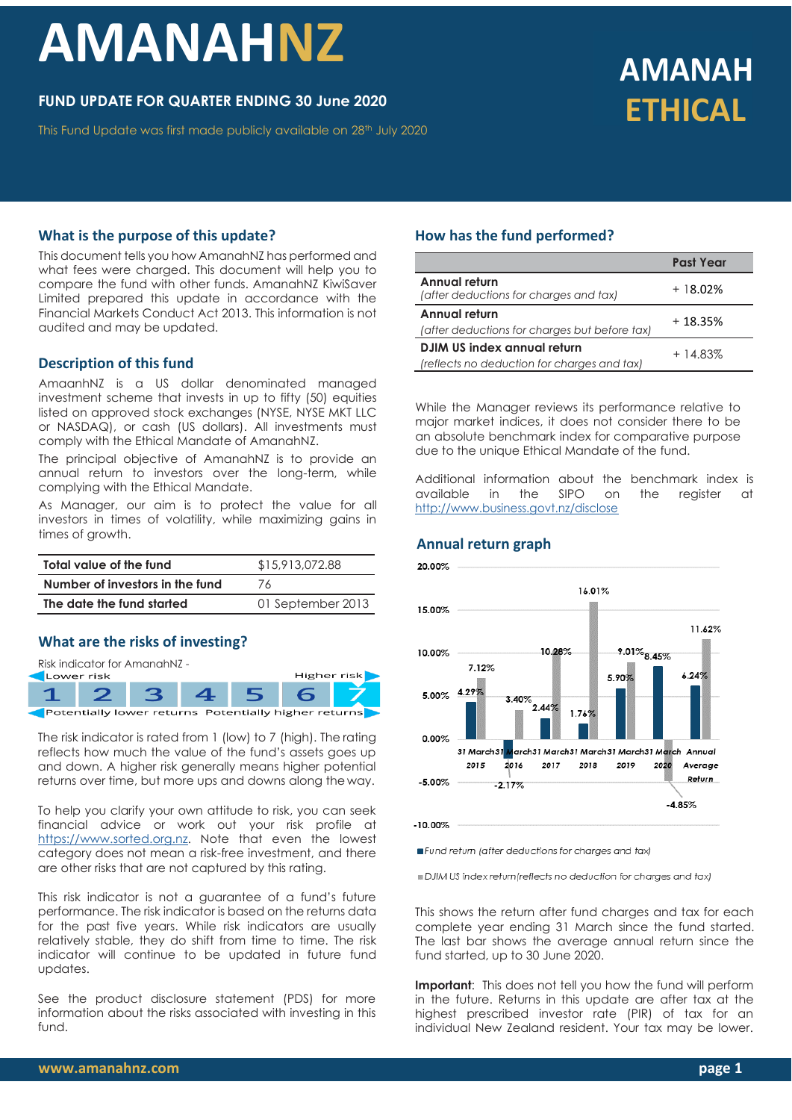# **AMANAHNZ**

# **FUND UPDATE FOR QUARTER ENDING 30 June 2020**

This Fund Update was first made publicly available on 28<sup>th</sup> July 2020

# **AMANAH ETHICAL**

#### **What is the purpose of this update?**

This document tells you how AmanahNZ has performed and what fees were charged. This document will help you to compare the fund with other funds. AmanahNZ KiwiSaver Limited prepared this update in accordance with the Financial Markets Conduct Act 2013. This information is not audited and may be updated.

#### **Description of this fund**

AmaanhNZ is a US dollar denominated managed investment scheme that invests in up to fifty (50) equities listed on approved stock exchanges (NYSE, NYSE MKT LLC or NASDAQ), or cash (US dollars). All investments must comply with the Ethical Mandate of AmanahNZ.

The principal objective of AmanahNZ is to provide an annual return to investors over the long-term, while complying with the Ethical Mandate.

As Manager, our aim is to protect the value for all investors in times of volatility, while maximizing gains in times of growth.

| Total value of the fund                        | \$15,913,072.88 |  |  |
|------------------------------------------------|-----------------|--|--|
| Number of investors in the fund                | 76              |  |  |
| The date the fund started<br>01 September 2013 |                 |  |  |

#### **What are the risks of investing?**

Risk indicator for AmanahNZ -



The risk indicator is rated from 1 (low) to 7 (high). The rating reflects how much the value of the fund's assets goes up and down. A higher risk generally means higher potential returns over time, but more ups and downs along the way.

To help you clarify your own attitude to risk, you can seek financial advice or work out your risk profile at [https://www.sorted.org.nz.](https://www.sorted.org.nz/guides/kiwisaver-which-fund-suits) Note that even the lowest category does not mean a risk-free investment, and there are other risks that are not captured by this rating.

This risk indicator is not a guarantee of a fund's future performance. The risk indicator is based on the returns data for the past five years. While risk indicators are usually relatively stable, they do shift from time to time. The risk indicator will continue to be updated in future fund updates.

See the product disclosure statement (PDS) for more information about the risks associated with investing in this fund.

# **How has the fund performed?**

|                                                         | <b>Past Year</b> |  |
|---------------------------------------------------------|------------------|--|
| Annual return<br>(after deductions for charges and tax) | $+18.02%$        |  |
| Annual return                                           | $+18.35%$        |  |
| (after deductions for charges but before tax)           |                  |  |
| DJIM US index annual return                             | $+14.83%$        |  |
| (reflects no deduction for charges and tax)             |                  |  |

While the Manager reviews its performance relative to major market indices, it does not consider there to be an absolute benchmark index for comparative purpose due to the unique Ethical Mandate of the fund.

Additional information about the benchmark index is available in the SIPO on the register at <http://www.business.govt.nz/disclose>

#### **Annual return graph**



Fund retum (after deductions for charges and tax)

DJIM US index return (reflects no deduction for charges and tax)

This shows the return after fund charges and tax for each complete year ending 31 March since the fund started. The last bar shows the average annual return since the fund started, up to 30 June 2020.

**Important:** This does not tell you how the fund will perform in the future. Returns in this update are after tax at the highest prescribed investor rate (PIR) of tax for an individual New Zealand resident. Your tax may be lower.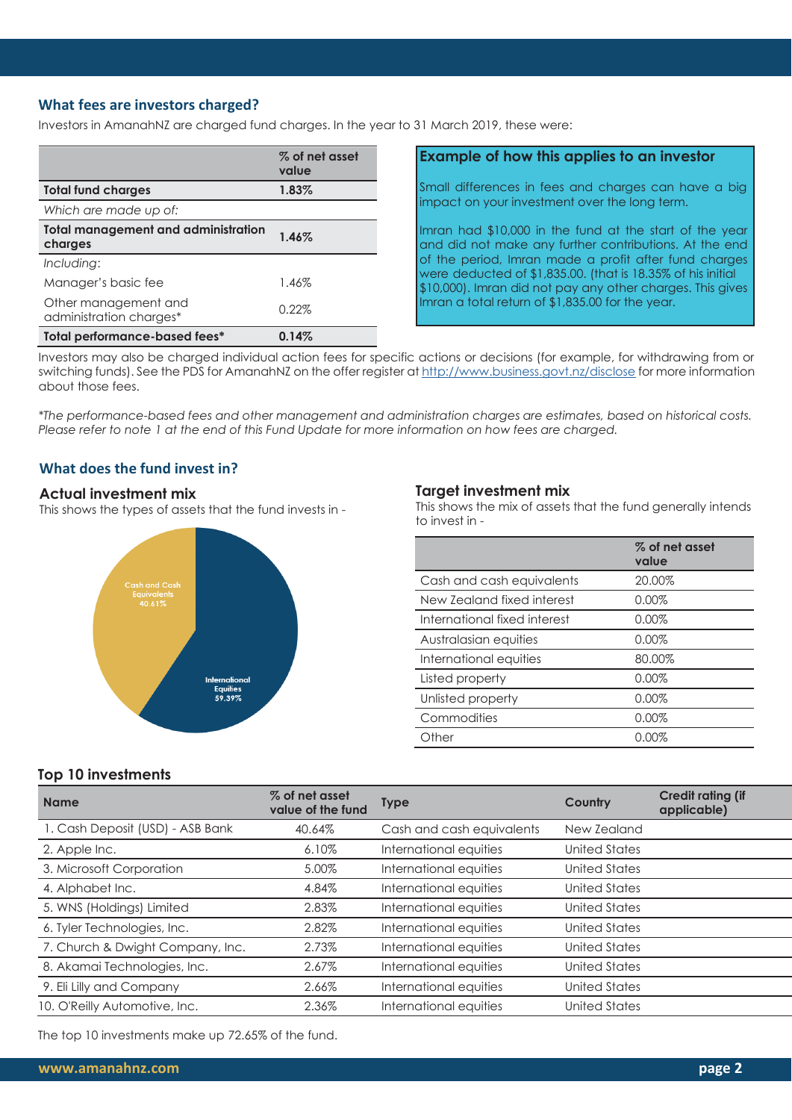# **What fees are investors charged?**

Investors in AmanahNZ are charged fund charges. In the year to 31 March 2019, these were:

|                                                       | % of net asset<br>value |
|-------------------------------------------------------|-------------------------|
| <b>Total fund charges</b>                             | 1.83%                   |
| Which are made up of:                                 |                         |
| <b>Total management and administration</b><br>charges | 1.46%                   |
| Including:                                            |                         |
| Manager's basic fee                                   | 1.46%                   |
| Other management and<br>administration charges*       | 0.22%                   |
| Total performance-based fees*                         | 0.14%                   |

# **Example of how this applies to an investor**

Small differences in fees and charges can have a big impact on your investment over the long term.

Imran had \$10,000 in the fund at the start of the year and did not make any further contributions. At the end of the period, Imran made a profit after fund charges were deducted of \$1,835.00. (that is 18.35% of his initial \$10,000). Imran did not pay any other charges. This gives Imran a total return of \$1,835.00 for the year.

Investors may also be charged individual action fees for specific actions or decisions (for example, for withdrawing from or switching funds). See the PDS for AmanahNZ on the offer register at <http://www.business.govt.nz/disclose> for more information about those fees.

*\*The performance-based fees and other management and administration charges are estimates, based on historical costs. Please refer to note 1 at the end of this Fund Update for more information on how fees are charged.*

# **What does the fund invest in?**

#### **Actual investment mix**

This shows the types of assets that the fund invests in -



#### **Target investment mix**

This shows the mix of assets that the fund generally intends to invest in -

|                              | % of net asset<br>value |
|------------------------------|-------------------------|
| Cash and cash equivalents    | 20.00%                  |
| New Zealand fixed interest   | 0.00%                   |
| International fixed interest | 0.00%                   |
| Australasian equities        | $0.00\%$                |
| International equities       | 80.00%                  |
| Listed property              | 0.00%                   |
| Unlisted property            | 0.00%                   |
| Commodities                  | 0.00%                   |
| Other                        | $0.00\%$                |

#### **Top 10 investments**

| <b>Name</b>                      | % of net asset<br>value of the fund | <b>Type</b>               | Country              | <b>Credit rating (if</b><br>applicable) |
|----------------------------------|-------------------------------------|---------------------------|----------------------|-----------------------------------------|
| 1. Cash Deposit (USD) - ASB Bank | 40.64%                              | Cash and cash equivalents | New Zealand          |                                         |
| 2. Apple Inc.                    | 6.10%                               | International equities    | United States        |                                         |
| 3. Microsoft Corporation         | 5.00%                               | International equities    | United States        |                                         |
| 4. Alphabet Inc.                 | 4.84%                               | International equities    | United States        |                                         |
| 5. WNS (Holdings) Limited        | 2.83%                               | International equities    | United States        |                                         |
| 6. Tyler Technologies, Inc.      | 2.82%                               | International equities    | <b>United States</b> |                                         |
| 7. Church & Dwight Company, Inc. | 2.73%                               | International equities    | <b>United States</b> |                                         |
| 8. Akamai Technologies, Inc.     | 2.67%                               | International equities    | United States        |                                         |
| 9. Eli Lilly and Company         | 2.66%                               | International equities    | <b>United States</b> |                                         |
| 10. O'Reilly Automotive, Inc.    | 2.36%                               | International equities    | United States        |                                         |

The top 10 investments make up 72.65% of the fund.